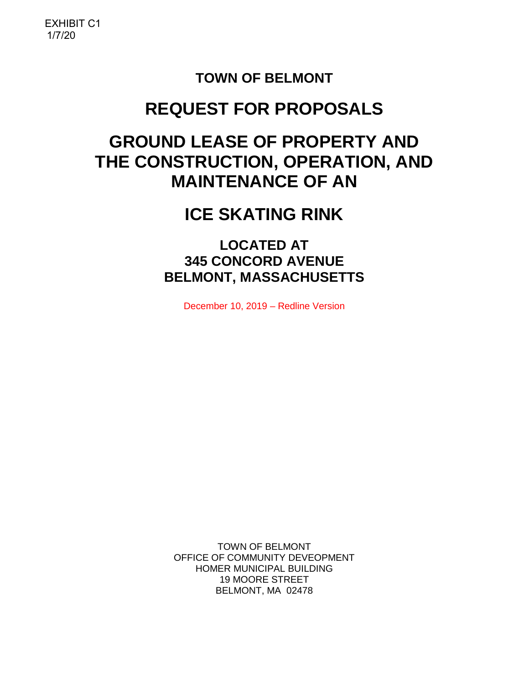# **TOWN OF BELMONT**

# **REQUEST FOR PROPOSALS**

# **GROUND LEASE OF PROPERTY AND THE CONSTRUCTION, OPERATION, AND MAINTENANCE OF AN**

# **ICE SKATING RINK**

**LOCATED AT 345 CONCORD AVENUE BELMONT, MASSACHUSETTS**

December 10, 2019 – Redline Version

TOWN OF BELMONT OFFICE OF COMMUNITY DEVEOPMENT HOMER MUNICIPAL BUILDING 19 MOORE STREET BELMONT, MA 02478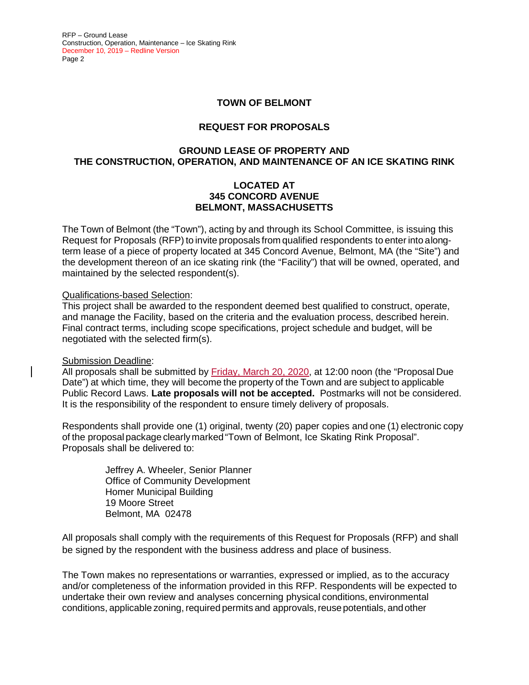#### **TOWN OF BELMONT**

#### **REQUEST FOR PROPOSALS**

#### **GROUND LEASE OF PROPERTY AND THE CONSTRUCTION, OPERATION, AND MAINTENANCE OF AN ICE SKATING RINK**

#### **LOCATED AT 345 CONCORD AVENUE BELMONT, MASSACHUSETTS**

The Town of Belmont (the "Town"), acting by and through its School Committee, is issuing this Request for Proposals (RFP) to invite proposals from qualified respondents to enter into a longterm lease of a piece of property located at 345 Concord Avenue, Belmont, MA (the "Site") and the development thereon of an ice skating rink (the "Facility") that will be owned, operated, and maintained by the selected respondent(s).

#### Qualifications-based Selection:

This project shall be awarded to the respondent deemed best qualified to construct, operate, and manage the Facility, based on the criteria and the evaluation process, described herein. Final contract terms, including scope specifications, project schedule and budget, will be negotiated with the selected firm(s).

#### Submission Deadline:

All proposals shall be submitted by Friday, March 20, 2020, at 12:00 noon (the "Proposal Due Date") at which time, they will become the property of the Town and are subject to applicable Public Record Laws. **Late proposals will not be accepted.** Postmarks will not be considered. It is the responsibility of the respondent to ensure timely delivery of proposals.

Respondents shall provide one (1) original, twenty (20) paper copies and one (1) electronic copy of the proposal package clearly marked "Town of Belmont, Ice Skating Rink Proposal". Proposals shall be delivered to:

> Jeffrey A. Wheeler, Senior Planner Office of Community Development Homer Municipal Building 19 Moore Street Belmont, MA 02478

All proposals shall comply with the requirements of this Request for Proposals (RFP) and shall be signed by the respondent with the business address and place of business.

The Town makes no representations or warranties, expressed or implied, as to the accuracy and/or completeness of the information provided in this RFP. Respondents will be expected to undertake their own review and analyses concerning physical conditions, environmental conditions, applicable zoning, required permits and approvals, reuse potentials, and other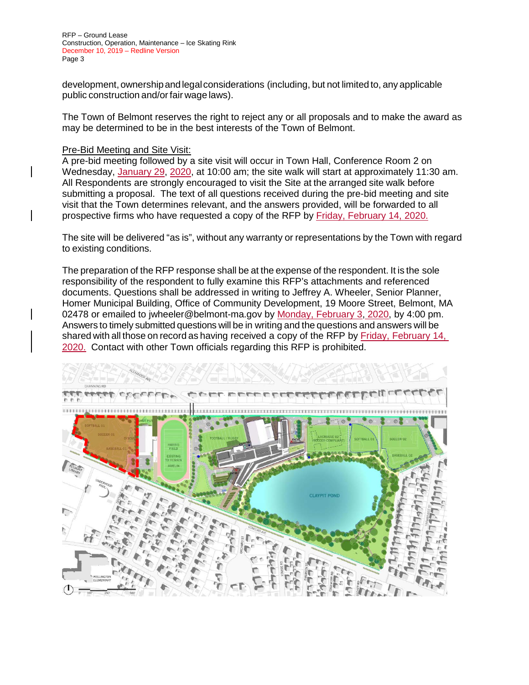development,ownershipandlegalconsiderations (including, but not limited to, any applicable public construction and/orfair wage laws).

The Town of Belmont reserves the right to reject any or all proposals and to make the award as may be determined to be in the best interests of the Town of Belmont.

#### Pre-Bid Meeting and Site Visit:

A pre-bid meeting followed by a site visit will occur in Town Hall, Conference Room 2 on Wednesday, January 29, 2020, at 10:00 am; the site walk will start at approximately 11:30 am. All Respondents are strongly encouraged to visit the Site at the arranged site walk before submitting a proposal. The text of all questions received during the pre-bid meeting and site visit that the Town determines relevant, and the answers provided, will be forwarded to all prospective firms who have requested a copy of the RFP by Friday, February 14, 2020.

The site will be delivered "as is", without any warranty or representations by the Town with regard to existing conditions.

The preparation of the RFP response shall be at the expense of the respondent. It is the sole responsibility of the respondent to fully examine this RFP's attachments and referenced documents. Questions shall be addressed in writing to Jeffrey A. Wheeler, Senior Planner, Homer Municipal Building, Office of Community Development, 19 Moore Street, Belmont, MA 02478 or emailed to [jwheeler@belmont-ma.gov](mailto:jwheeler@belmont-ma.gov) by Monday, February 3, 2020, by 4:00 pm. Answers to timely submitted questions will be in writing and the questions and answers will be shared with all those on record as having received a copy of the RFP by Friday, February 14, 2020. Contact with other Town officials regarding this RFP is prohibited.

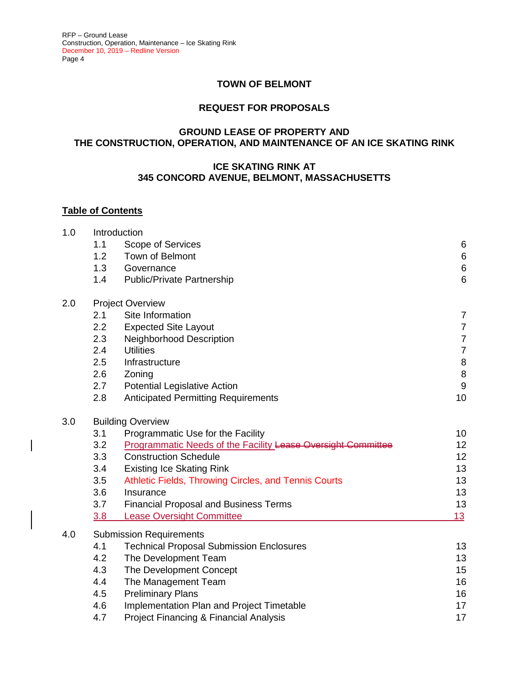#### **TOWN OF BELMONT**

#### **REQUEST FOR PROPOSALS**

#### **GROUND LEASE OF PROPERTY AND THE CONSTRUCTION, OPERATION, AND MAINTENANCE OF AN ICE SKATING RINK**

#### **ICE SKATING RINK AT 345 CONCORD AVENUE, BELMONT, MASSACHUSETTS**

#### **Table of Contents**

|     | Introduction                                                        |                                                                                                                                                                                                                     |  |  |
|-----|---------------------------------------------------------------------|---------------------------------------------------------------------------------------------------------------------------------------------------------------------------------------------------------------------|--|--|
| 1.1 | Scope of Services                                                   | $\,6$                                                                                                                                                                                                               |  |  |
| 1.2 | Town of Belmont                                                     | $\,6$                                                                                                                                                                                                               |  |  |
| 1.3 | Governance                                                          | $\,6$                                                                                                                                                                                                               |  |  |
| 1.4 | <b>Public/Private Partnership</b>                                   | $6\phantom{1}6$                                                                                                                                                                                                     |  |  |
|     | <b>Project Overview</b>                                             |                                                                                                                                                                                                                     |  |  |
| 2.1 | Site Information                                                    | 7                                                                                                                                                                                                                   |  |  |
| 2.2 | <b>Expected Site Layout</b>                                         | $\boldsymbol{7}$                                                                                                                                                                                                    |  |  |
| 2.3 | <b>Neighborhood Description</b>                                     | $\overline{7}$                                                                                                                                                                                                      |  |  |
| 2.4 | <b>Utilities</b>                                                    | $\overline{7}$                                                                                                                                                                                                      |  |  |
| 2.5 | Infrastructure                                                      | 8                                                                                                                                                                                                                   |  |  |
| 2.6 | Zoning                                                              | $\, 8$                                                                                                                                                                                                              |  |  |
| 2.7 | <b>Potential Legislative Action</b>                                 | $\boldsymbol{9}$                                                                                                                                                                                                    |  |  |
| 2.8 | <b>Anticipated Permitting Requirements</b>                          | 10                                                                                                                                                                                                                  |  |  |
|     |                                                                     |                                                                                                                                                                                                                     |  |  |
| 3.1 | Programmatic Use for the Facility                                   | 10                                                                                                                                                                                                                  |  |  |
| 3.2 | <b>Programmatic Needs of the Facility Lease Oversight Committee</b> | 12                                                                                                                                                                                                                  |  |  |
| 3.3 | <b>Construction Schedule</b>                                        | 12                                                                                                                                                                                                                  |  |  |
| 3.4 | <b>Existing Ice Skating Rink</b>                                    | 13                                                                                                                                                                                                                  |  |  |
| 3.5 | Athletic Fields, Throwing Circles, and Tennis Courts                | 13                                                                                                                                                                                                                  |  |  |
| 3.6 | Insurance                                                           | 13                                                                                                                                                                                                                  |  |  |
| 3.7 | <b>Financial Proposal and Business Terms</b>                        | 13                                                                                                                                                                                                                  |  |  |
| 3.8 | <b>Lease Oversight Committee</b>                                    | 13                                                                                                                                                                                                                  |  |  |
|     |                                                                     |                                                                                                                                                                                                                     |  |  |
|     |                                                                     | 13                                                                                                                                                                                                                  |  |  |
|     |                                                                     | 13                                                                                                                                                                                                                  |  |  |
|     |                                                                     | 15                                                                                                                                                                                                                  |  |  |
|     |                                                                     | 16                                                                                                                                                                                                                  |  |  |
| 4.5 |                                                                     | 16                                                                                                                                                                                                                  |  |  |
| 4.6 | Implementation Plan and Project Timetable                           | 17                                                                                                                                                                                                                  |  |  |
| 4.7 | Project Financing & Financial Analysis                              | 17                                                                                                                                                                                                                  |  |  |
|     | 4.1<br>4.2<br>4.3<br>4.4                                            | <b>Building Overview</b><br><b>Submission Requirements</b><br><b>Technical Proposal Submission Enclosures</b><br>The Development Team<br>The Development Concept<br>The Management Team<br><b>Preliminary Plans</b> |  |  |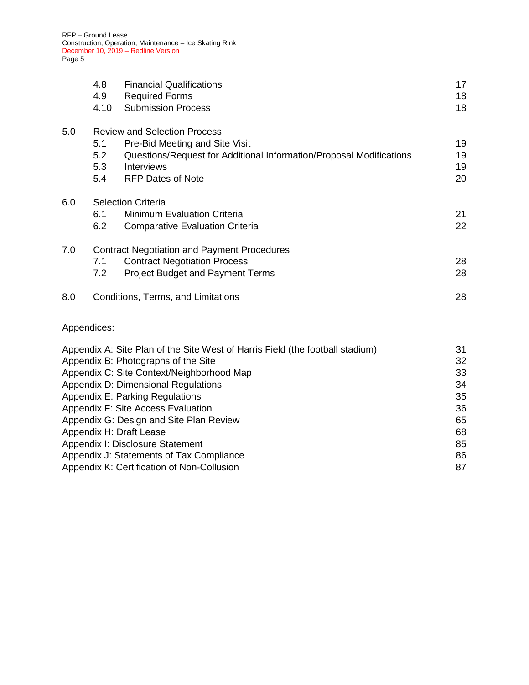|                                            | 4.8<br>4.9  | <b>Financial Qualifications</b><br><b>Required Forms</b>                      | 17<br>18 |
|--------------------------------------------|-------------|-------------------------------------------------------------------------------|----------|
|                                            | 4.10        | <b>Submission Process</b>                                                     | 18       |
| 5.0                                        |             | <b>Review and Selection Process</b>                                           |          |
|                                            | 5.1         | Pre-Bid Meeting and Site Visit                                                | 19       |
|                                            | 5.2         | Questions/Request for Additional Information/Proposal Modifications           | 19       |
|                                            | 5.3         | Interviews                                                                    | 19       |
|                                            | 5.4         | <b>RFP Dates of Note</b>                                                      | 20       |
| 6.0                                        |             | <b>Selection Criteria</b>                                                     |          |
|                                            | 6.1         | <b>Minimum Evaluation Criteria</b>                                            | 21       |
|                                            | 6.2         | <b>Comparative Evaluation Criteria</b>                                        | 22       |
| 7.0                                        |             | <b>Contract Negotiation and Payment Procedures</b>                            |          |
|                                            | 7.1         | <b>Contract Negotiation Process</b>                                           | 28       |
|                                            | 7.2         | <b>Project Budget and Payment Terms</b>                                       | 28       |
| 8.0                                        |             | Conditions, Terms, and Limitations                                            | 28       |
|                                            | Appendices: |                                                                               |          |
|                                            |             | Appendix A: Site Plan of the Site West of Harris Field (the football stadium) | 31       |
| Appendix B: Photographs of the Site        |             |                                                                               | 32       |
|                                            |             | Appendix C: Site Context/Neighborhood Map                                     | 33       |
|                                            |             | Appendix D: Dimensional Regulations                                           | 34       |
|                                            |             | <b>Appendix E: Parking Regulations</b>                                        | 35       |
|                                            |             | Appendix F: Site Access Evaluation                                            | 36       |
| Appendix G: Design and Site Plan Review    |             |                                                                               | 65       |
| Appendix H: Draft Lease                    |             |                                                                               | 68       |
| Appendix I: Disclosure Statement           |             |                                                                               | 85<br>86 |
| Appendix J: Statements of Tax Compliance   |             |                                                                               |          |
| Appendix K: Certification of Non-Collusion |             |                                                                               | 87       |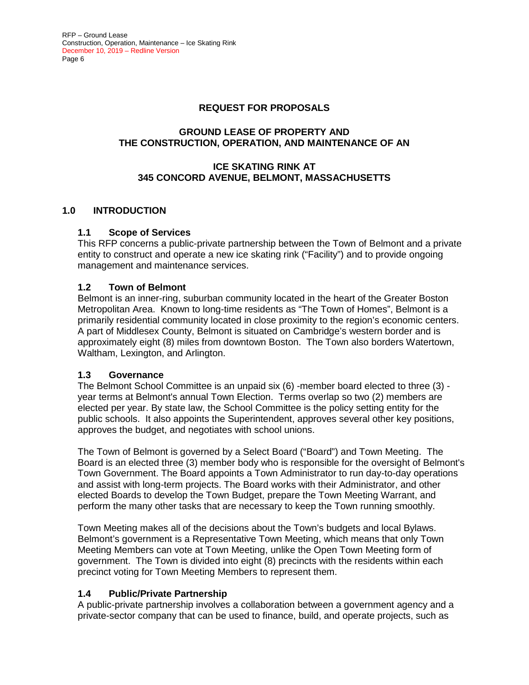#### **REQUEST FOR PROPOSALS**

#### **GROUND LEASE OF PROPERTY AND THE CONSTRUCTION, OPERATION, AND MAINTENANCE OF AN**

#### **ICE SKATING RINK AT 345 CONCORD AVENUE, BELMONT, MASSACHUSETTS**

#### **1.0 INTRODUCTION**

#### **1.1 Scope of Services**

This RFP concerns a public-private partnership between the Town of Belmont and a private entity to construct and operate a new ice skating rink ("Facility") and to provide ongoing management and maintenance services.

#### **1.2 Town of Belmont**

Belmont is an inner-ring, suburban community located in the heart of the Greater Boston Metropolitan Area. Known to long-time residents as "The Town of Homes", Belmont is a primarily residential community located in close proximity to the region's economic centers. A part of Middlesex County, Belmont is situated on Cambridge's western border and is approximately eight (8) miles from downtown Boston. The Town also borders Watertown, Waltham, Lexington, and Arlington.

#### **1.3 Governance**

The Belmont School Committee is an unpaid six (6) -member board elected to three (3) year terms at Belmont's annual Town Election. Terms overlap so two (2) members are elected per year. By state law, the School Committee is the policy setting entity for the public schools. It also appoints the Superintendent, approves several other key positions, approves the budget, and negotiates with school unions.

The Town of Belmont is governed by a Select Board ("Board") and Town Meeting. The Board is an elected three (3) member body who is responsible for the oversight of Belmont's Town Government. The Board appoints a Town Administrator to run day-to-day operations and assist with long-term projects. The Board works with their Administrator, and other elected Boards to develop the Town Budget, prepare the Town Meeting Warrant, and perform the many other tasks that are necessary to keep the Town running smoothly.

Town Meeting makes all of the decisions about the Town's budgets and local Bylaws. Belmont's government is a Representative Town Meeting, which means that only Town Meeting Members can vote at Town Meeting, unlike the Open Town Meeting form of government. The Town is divided into eight (8) precincts with the residents within each precinct voting for Town Meeting Members to represent them.

#### **1.4 Public/Private Partnership**

A public-private partnership involves a collaboration between a government agency and a private-sector company that can be used to finance, build, and operate projects, such as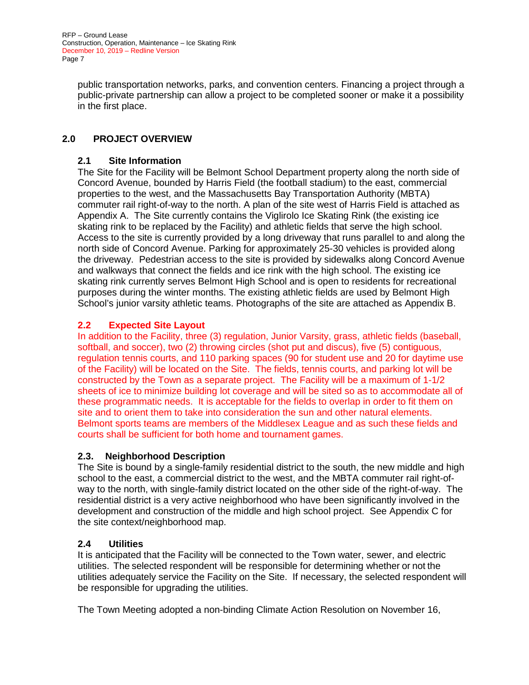public transportation networks, parks, and convention centers. Financing a project through a public-private partnership can allow a project to be completed sooner or make it a possibility in the first place.

# **2.0 PROJECT OVERVIEW**

#### **2.1 Site Information**

The Site for the Facility will be Belmont School Department property along the north side of Concord Avenue, bounded by Harris Field (the football stadium) to the east, commercial properties to the west, and the Massachusetts Bay Transportation Authority (MBTA) commuter rail right-of-way to the north. A plan of the site west of Harris Field is attached as Appendix A. The Site currently contains the Viglirolo Ice Skating Rink (the existing ice skating rink to be replaced by the Facility) and athletic fields that serve the high school. Access to the site is currently provided by a long driveway that runs parallel to and along the north side of Concord Avenue. Parking for approximately 25-30 vehicles is provided along the driveway. Pedestrian access to the site is provided by sidewalks along Concord Avenue and walkways that connect the fields and ice rink with the high school. The existing ice skating rink currently serves Belmont High School and is open to residents for recreational purposes during the winter months. The existing athletic fields are used by Belmont High School's junior varsity athletic teams. Photographs of the site are attached as Appendix B.

# **2.2 Expected Site Layout**

In addition to the Facility, three (3) regulation, Junior Varsity, grass, athletic fields (baseball, softball, and soccer), two (2) throwing circles (shot put and discus), five (5) contiguous, regulation tennis courts, and 110 parking spaces (90 for student use and 20 for daytime use of the Facility) will be located on the Site. The fields, tennis courts, and parking lot will be constructed by the Town as a separate project. The Facility will be a maximum of 1-1/2 sheets of ice to minimize building lot coverage and will be sited so as to accommodate all of these programmatic needs. It is acceptable for the fields to overlap in order to fit them on site and to orient them to take into consideration the sun and other natural elements. Belmont sports teams are members of the Middlesex League and as such these fields and courts shall be sufficient for both home and tournament games.

#### **2.3. Neighborhood Description**

The Site is bound by a single-family residential district to the south, the new middle and high school to the east, a commercial district to the west, and the MBTA commuter rail right-ofway to the north, with single-family district located on the other side of the right-of-way. The residential district is a very active neighborhood who have been significantly involved in the development and construction of the middle and high school project. See Appendix C for the site context/neighborhood map.

#### **2.4 Utilities**

It is anticipated that the Facility will be connected to the Town water, sewer, and electric utilities. The selected respondent will be responsible for determining whether or not the utilities adequately service the Facility on the Site. If necessary, the selected respondent will be responsible for upgrading the utilities.

The Town Meeting adopted a non-binding Climate Action Resolution on November 16,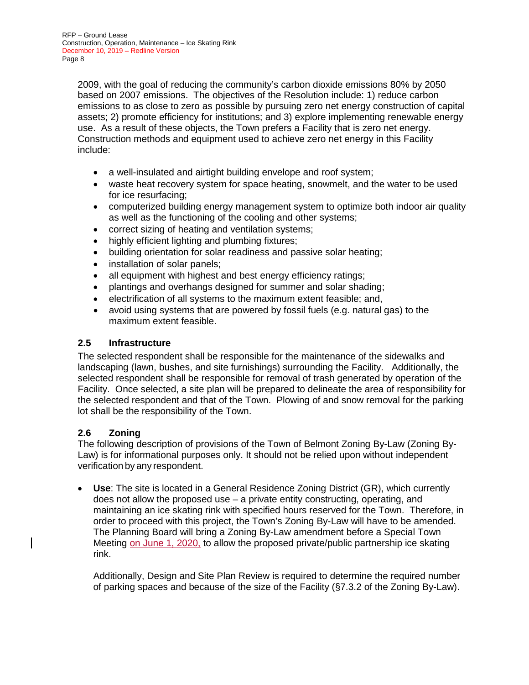2009, with the goal of reducing the community's carbon dioxide emissions 80% by 2050 based on 2007 emissions. The objectives of the Resolution include: 1) reduce carbon emissions to as close to zero as possible by pursuing zero net energy construction of capital assets; 2) promote efficiency for institutions; and 3) explore implementing renewable energy use. As a result of these objects, the Town prefers a Facility that is zero net energy. Construction methods and equipment used to achieve zero net energy in this Facility include:

- a well-insulated and airtight building envelope and roof system;
- waste heat recovery system for space heating, snowmelt, and the water to be used for ice resurfacing;
- computerized building energy management system to optimize both indoor air quality as well as the functioning of the cooling and other systems;
- correct sizing of heating and ventilation systems;
- highly efficient lighting and plumbing fixtures;
- building orientation for solar readiness and passive solar heating;
- installation of solar panels;
- all equipment with highest and best energy efficiency ratings;
- plantings and overhangs designed for summer and solar shading;
- electrification of all systems to the maximum extent feasible; and,
- avoid using systems that are powered by fossil fuels (e.g. natural gas) to the maximum extent feasible.

#### **2.5 Infrastructure**

The selected respondent shall be responsible for the maintenance of the sidewalks and landscaping (lawn, bushes, and site furnishings) surrounding the Facility. Additionally, the selected respondent shall be responsible for removal of trash generated by operation of the Facility. Once selected, a site plan will be prepared to delineate the area of responsibility for the selected respondent and that of the Town. Plowing of and snow removal for the parking lot shall be the responsibility of the Town.

# **2.6 Zoning**

The following description of provisions of the Town of Belmont Zoning By-Law (Zoning By-Law) is for informational purposes only. It should not be relied upon without independent verification by any respondent.

• **Use**: The site is located in a General Residence Zoning District (GR), which currently does not allow the proposed use – a private entity constructing, operating, and maintaining an ice skating rink with specified hours reserved for the Town. Therefore, in order to proceed with this project, the Town's Zoning By-Law will have to be amended. The Planning Board will bring a Zoning By-Law amendment before a Special Town Meeting on June 1, 2020, to allow the proposed private/public partnership ice skating rink.

Additionally, Design and Site Plan Review is required to determine the required number of parking spaces and because of the size of the Facility (§7.3.2 of the Zoning By-Law).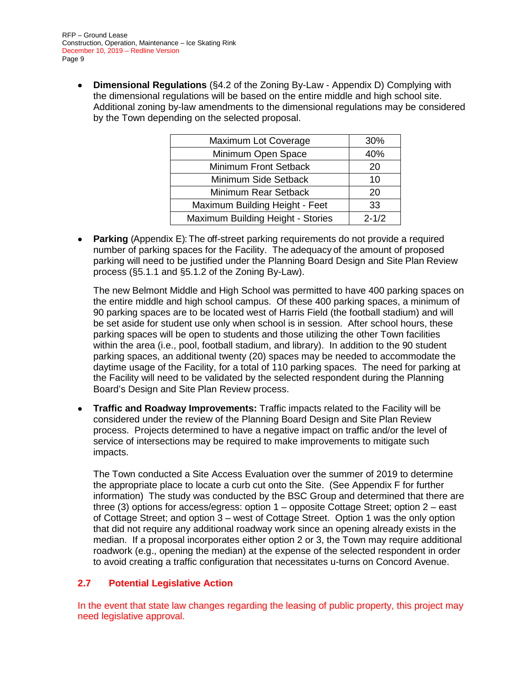• **Dimensional Regulations** (§4.2 of the Zoning By-Law - Appendix D) Complying with the dimensional regulations will be based on the entire middle and high school site. Additional zoning by-law amendments to the dimensional regulations may be considered by the Town depending on the selected proposal.

| Maximum Lot Coverage                 | 30%       |
|--------------------------------------|-----------|
| Minimum Open Space                   | 40%       |
| Minimum Front Setback                | 20        |
| Minimum Side Setback                 | 10        |
| Minimum Rear Setback                 | 20        |
| Maximum Building Height - Feet<br>33 |           |
| Maximum Building Height - Stories    | $2 - 1/2$ |

• **Parking** (Appendix E): The off-street parking requirements do not provide a required number of parking spaces for the Facility. The adequacy of the amount of proposed parking will need to be justified under the Planning Board Design and Site Plan Review process (§5.1.1 and §5.1.2 of the Zoning By-Law).

The new Belmont Middle and High School was permitted to have 400 parking spaces on the entire middle and high school campus. Of these 400 parking spaces, a minimum of 90 parking spaces are to be located west of Harris Field (the football stadium) and will be set aside for student use only when school is in session. After school hours, these parking spaces will be open to students and those utilizing the other Town facilities within the area (i.e., pool, football stadium, and library). In addition to the 90 student parking spaces, an additional twenty (20) spaces may be needed to accommodate the daytime usage of the Facility, for a total of 110 parking spaces. The need for parking at the Facility will need to be validated by the selected respondent during the Planning Board's Design and Site Plan Review process.

• **Traffic and Roadway Improvements:** Traffic impacts related to the Facility will be considered under the review of the Planning Board Design and Site Plan Review process. Projects determined to have a negative impact on traffic and/or the level of service of intersections may be required to make improvements to mitigate such impacts.

The Town conducted a Site Access Evaluation over the summer of 2019 to determine the appropriate place to locate a curb cut onto the Site. (See Appendix F for further information) The study was conducted by the BSC Group and determined that there are three (3) options for access/egress: option 1 – opposite Cottage Street; option 2 – east of Cottage Street; and option 3 – west of Cottage Street. Option 1 was the only option that did not require any additional roadway work since an opening already exists in the median. If a proposal incorporates either option 2 or 3, the Town may require additional roadwork (e.g., opening the median) at the expense of the selected respondent in order to avoid creating a traffic configuration that necessitates u-turns on Concord Avenue.

#### **2.7 Potential Legislative Action**

In the event that state law changes regarding the leasing of public property, this project may need legislative approval.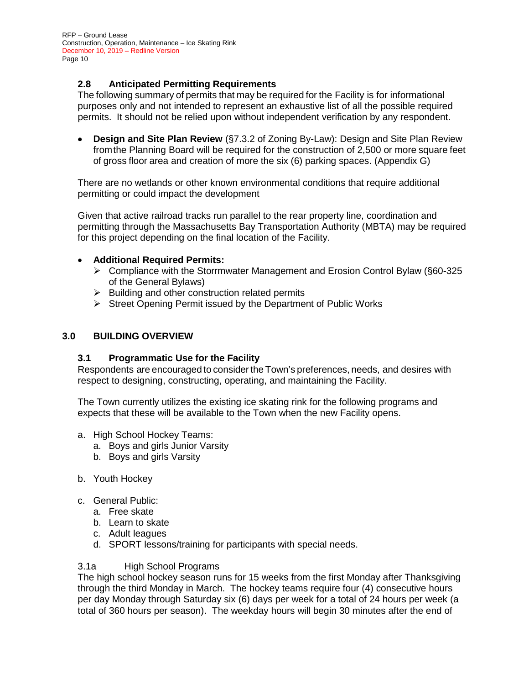#### **2.8 Anticipated Permitting Requirements**

The following summary of permits that may be required for the Facility is for informational purposes only and not intended to represent an exhaustive list of all the possible required permits. It should not be relied upon without independent verification by any respondent.

• **Design and Site Plan Review** (§7.3.2 of Zoning By-Law): Design and Site Plan Review fromthe Planning Board will be required for the construction of 2,500 or more square feet of gross floor area and creation of more the six (6) parking spaces. (Appendix G)

There are no wetlands or other known environmental conditions that require additional permitting or could impact the development

Given that active railroad tracks run parallel to the rear property line, coordination and permitting through the Massachusetts Bay Transportation Authority (MBTA) may be required for this project depending on the final location of the Facility.

#### • **Additional Required Permits:**

- Compliance with the Storrmwater Management and Erosion Control Bylaw (§60-325 of the General Bylaws)
- $\triangleright$  Building and other construction related permits
- $\triangleright$  Street Opening Permit issued by the Department of Public Works

#### **3.0 BUILDING OVERVIEW**

#### **3.1 Programmatic Use for the Facility**

Respondents are encouraged to consider the Town's preferences, needs, and desires with respect to designing, constructing, operating, and maintaining the Facility.

The Town currently utilizes the existing ice skating rink for the following programs and expects that these will be available to the Town when the new Facility opens.

- a. High School Hockey Teams:
	- a. Boys and girls Junior Varsity
	- b. Boys and girls Varsity
- b. Youth Hockey
- c. General Public:
	- a. Free skate
	- b. Learn to skate
	- c. Adult leagues
	- d. SPORT lessons/training for participants with special needs.

#### 3.1a High School Programs

The high school hockey season runs for 15 weeks from the first Monday after Thanksgiving through the third Monday in March. The hockey teams require four (4) consecutive hours per day Monday through Saturday six (6) days per week for a total of 24 hours per week (a total of 360 hours per season). The weekday hours will begin 30 minutes after the end of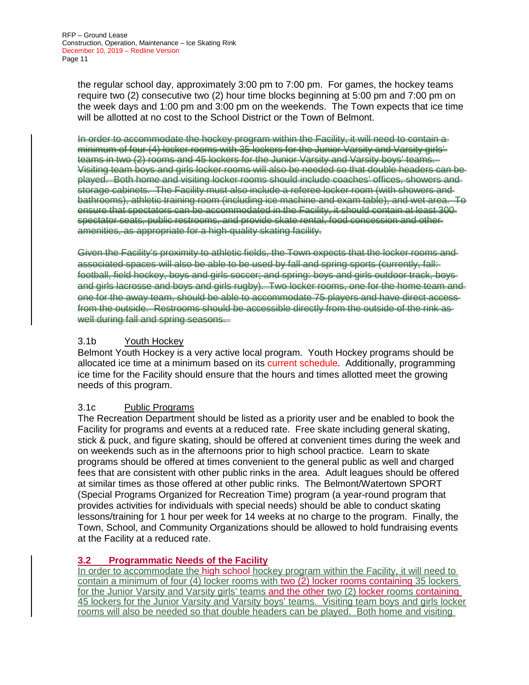the regular school day, approximately 3:00 pm to 7:00 pm. For games, the hockey teams require two (2) consecutive two (2) hour time blocks beginning at 5:00 pm and 7:00 pm on the week days and 1:00 pm and 3:00 pm on the weekends. The Town expects that ice time will be allotted at no cost to the School District or the Town of Belmont.

In order to accommodate the hockey program within the Facility, it will need to contain a minimum of four (4) locker rooms with 35 lockers for the Junior Varsity and Varsity girls' teams in two (2) rooms and 45 lockers for the Junior Varsity and Varsity boys' teams. Visiting team boys and girls locker rooms will also be needed so that double headers can be played. Both home and visiting locker rooms should include coaches' offices, showers and storage cabinets. The Facility must also include a referee locker room (with showers and bathrooms), athletic training room (including ice machine and exam table), and wet area. To ensure that spectators can be accommodated in the Facility, it should contain at least 300 spectator seats, public restrooms, and provide skate rental, food concession and other amenities, as appropriate for a high-quality skating facility.

Given the Facility's proximity to athletic fields, the Town expects that the locker rooms and associated spaces will also be able to be used by fall and spring sports (currently, fallfootball, field hockey, boys and girls soccer; and spring: boys and girls outdoor track, boys and girls lacrosse and boys and girls rugby). Two locker rooms, one for the home team and one for the away team, should be able to accommodate 75 players and have direct access from the outside. Restrooms should be accessible directly from the outside of the rink as well during fall and spring seasons.

#### 3.1b Youth Hockey

Belmont Youth Hockey is a very active local program. Youth Hockey programs should be allocated ice time at a minimum based on its current schedule. Additionally, programming ice time for the Facility should ensure that the hours and times allotted meet the growing needs of this program.

#### 3.1c Public Programs

The Recreation Department should be listed as a priority user and be enabled to book the Facility for programs and events at a reduced rate. Free skate including general skating, stick & puck, and figure skating, should be offered at convenient times during the week and on weekends such as in the afternoons prior to high school practice. Learn to skate programs should be offered at times convenient to the general public as well and charged fees that are consistent with other public rinks in the area. Adult leagues should be offered at similar times as those offered at other public rinks. The Belmont/Watertown SPORT (Special Programs Organized for Recreation Time) program (a year-round program that provides activities for individuals with special needs) should be able to conduct skating lessons/training for 1 hour per week for 14 weeks at no charge to the program. Finally, the Town, School, and Community Organizations should be allowed to hold fundraising events at the Facility at a reduced rate.

#### **3.2 Programmatic Needs of the Facility**

In order to accommodate the high school hockey program within the Facility, it will need to contain a minimum of four (4) locker rooms with two (2) locker rooms containing 35 lockers for the Junior Varsity and Varsity girls' teams and the other two (2) locker rooms containing 45 lockers for the Junior Varsity and Varsity boys' teams. Visiting team boys and girls locker rooms will also be needed so that double headers can be played. Both home and visiting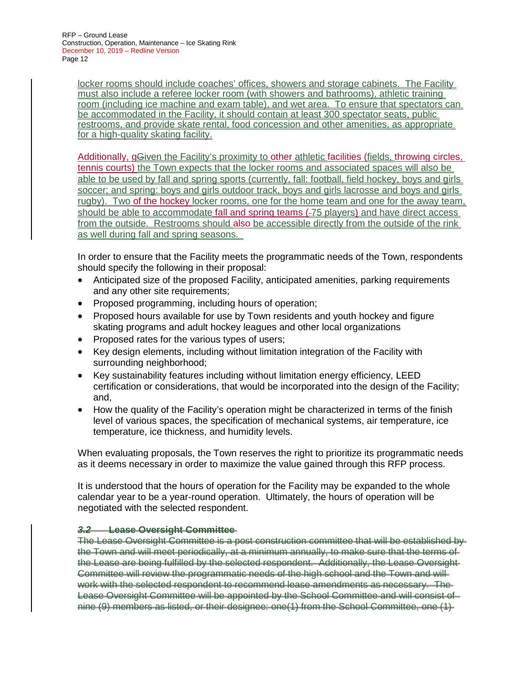locker rooms should include coaches' offices, showers and storage cabinets. The Facility must also include a referee locker room (with showers and bathrooms), athletic training room (including ice machine and exam table), and wet area. To ensure that spectators can be accommodated in the Facility, it should contain at least 300 spectator seats, public restrooms, and provide skate rental, food concession and other amenities, as appropriate for a high-quality skating facility.

Additionally, gGiven the Facility's proximity to other athletic facilities (fields, throwing circles, tennis courts) the Town expects that the locker rooms and associated spaces will also be able to be used by fall and spring sports (currently, fall: football, field hockey, boys and girls soccer; and spring: boys and girls outdoor track, boys and girls lacrosse and boys and girls rugby). Two of the hockey locker rooms, one for the home team and one for the away team, should be able to accommodate fall and spring teams ( 75 players) and have direct access from the outside. Restrooms should also be accessible directly from the outside of the rink as well during fall and spring seasons.

In order to ensure that the Facility meets the programmatic needs of the Town, respondents should specify the following in their proposal:

- Anticipated size of the proposed Facility, anticipated amenities, parking requirements and any other site requirements;
- Proposed programming, including hours of operation;
- Proposed hours available for use by Town residents and youth hockey and figure skating programs and adult hockey leagues and other local organizations
- Proposed rates for the various types of users;
- Key design elements, including without limitation integration of the Facility with surrounding neighborhood;
- Key sustainability features including without limitation energy efficiency, LEED certification or considerations, that would be incorporated into the design of the Facility; and,
- How the quality of the Facility's operation might be characterized in terms of the finish level of various spaces, the specification of mechanical systems, air temperature, ice temperature, ice thickness, and humidity levels.

When evaluating proposals, the Town reserves the right to prioritize its programmatic needs as it deems necessary in order to maximize the value gained through this RFP process.

It is understood that the hours of operation for the Facility may be expanded to the whole calendar year to be a year-round operation. Ultimately, the hours of operation will be negotiated with the selected respondent.

#### *3.2* **Lease Oversight Committee**

The Lease Oversight Committee is a post construction committee that will be established by the Town and will meet periodically, at a minimum annually, to make sure that the terms of the Lease are being fulfilled by the selected respondent. Additionally, the Lease Oversight Committee will review the programmatic needs of the high school and the Town and will work with the selected respondent to recommend lease amendments as necessary. The Lease Oversight Committee will be appointed by the School Committee and will consist of nine (9) members as listed, or their designee: one(1) from the School Committee, one (1)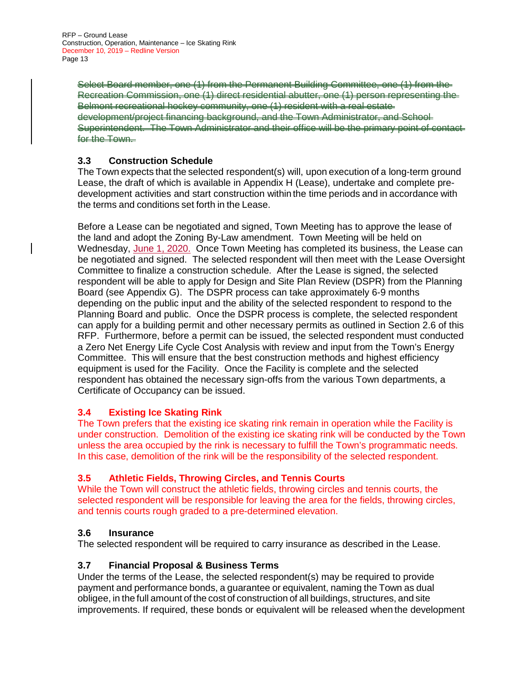Select Board member, one (1) from the Permanent Building Committee, one (1) from the Recreation Commission, one (1) direct residential abutter, one (1) person representing the Belmont recreational hockey community, one (1) resident with a real estate development/project financing background, and the Town Administrator, and School Superintendent. The Town Administrator and their office will be the primary point of contact for the Town.

# **3.3 Construction Schedule**

The Town expects that the selected respondent(s) will, upon execution of a long-term ground Lease, the draft of which is available in Appendix H (Lease), undertake and complete predevelopment activities and start construction within the time periods and in accordance with the terms and conditions set forth in the Lease.

Before a Lease can be negotiated and signed, Town Meeting has to approve the lease of the land and adopt the Zoning By-Law amendment. Town Meeting will be held on Wednesday, June 1, 2020. Once Town Meeting has completed its business, the Lease can be negotiated and signed. The selected respondent will then meet with the Lease Oversight Committee to finalize a construction schedule. After the Lease is signed, the selected respondent will be able to apply for Design and Site Plan Review (DSPR) from the Planning Board (see Appendix G). The DSPR process can take approximately 6-9 months depending on the public input and the ability of the selected respondent to respond to the Planning Board and public. Once the DSPR process is complete, the selected respondent can apply for a building permit and other necessary permits as outlined in Section 2.6 of this RFP. Furthermore, before a permit can be issued, the selected respondent must conducted a Zero Net Energy Life Cycle Cost Analysis with review and input from the Town's Energy Committee. This will ensure that the best construction methods and highest efficiency equipment is used for the Facility. Once the Facility is complete and the selected respondent has obtained the necessary sign-offs from the various Town departments, a Certificate of Occupancy can be issued.

# **3.4 Existing Ice Skating Rink**

The Town prefers that the existing ice skating rink remain in operation while the Facility is under construction. Demolition of the existing ice skating rink will be conducted by the Town unless the area occupied by the rink is necessary to fulfill the Town's programmatic needs. In this case, demolition of the rink will be the responsibility of the selected respondent.

#### **3.5 Athletic Fields, Throwing Circles, and Tennis Courts**

While the Town will construct the athletic fields, throwing circles and tennis courts, the selected respondent will be responsible for leaving the area for the fields, throwing circles, and tennis courts rough graded to a pre-determined elevation.

#### **3.6 Insurance**

The selected respondent will be required to carry insurance as described in the Lease.

#### **3.7 Financial Proposal & Business Terms**

Under the terms of the Lease, the selected respondent(s) may be required to provide payment and performance bonds, a guarantee or equivalent, naming the Town as dual obligee, in the full amount of the cost of construction of all buildings, structures, and site improvements. If required, these bonds or equivalent will be released when the development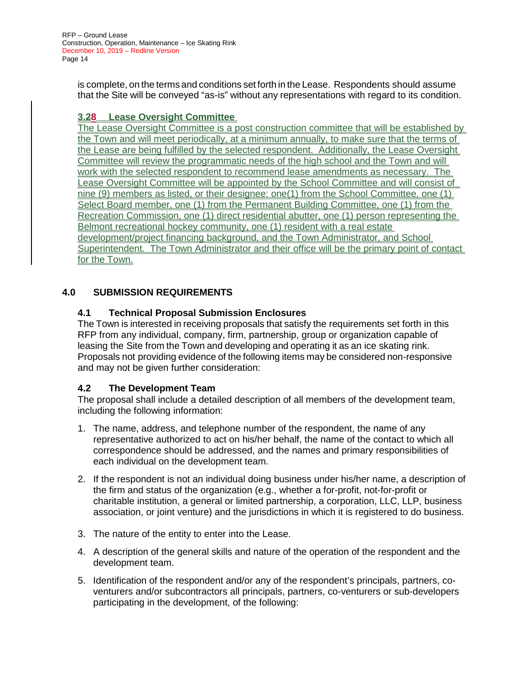is complete, on the terms and conditions set forth in the Lease. Respondents should assume that the Site will be conveyed "as-is" without any representations with regard to its condition.

# **3.28 Lease Oversight Committee**

The Lease Oversight Committee is a post construction committee that will be established by the Town and will meet periodically, at a minimum annually, to make sure that the terms of the Lease are being fulfilled by the selected respondent. Additionally, the Lease Oversight Committee will review the programmatic needs of the high school and the Town and will work with the selected respondent to recommend lease amendments as necessary. The Lease Oversight Committee will be appointed by the School Committee and will consist of nine (9) members as listed, or their designee: one(1) from the School Committee, one (1) Select Board member, one (1) from the Permanent Building Committee, one (1) from the Recreation Commission, one (1) direct residential abutter, one (1) person representing the Belmont recreational hockey community, one (1) resident with a real estate development/project financing background, and the Town Administrator, and School Superintendent. The Town Administrator and their office will be the primary point of contact for the Town.

# **4.0 SUBMISSION REQUIREMENTS**

#### **4.1 Technical Proposal Submission Enclosures**

The Town is interested in receiving proposals that satisfy the requirements set forth in this RFP from any individual, company, firm, partnership, group or organization capable of leasing the Site from the Town and developing and operating it as an ice skating rink. Proposals not providing evidence of the following items may be considered non-responsive and may not be given further consideration:

#### **4.2 The Development Team**

The proposal shall include a detailed description of all members of the development team, including the following information:

- 1. The name, address, and telephone number of the respondent, the name of any representative authorized to act on his/her behalf, the name of the contact to which all correspondence should be addressed, and the names and primary responsibilities of each individual on the development team.
- 2. If the respondent is not an individual doing business under his/her name, a description of the firm and status of the organization (e.g., whether a for-profit, not-for-profit or charitable institution, a general or limited partnership, a corporation, LLC, LLP, business association, or joint venture) and the jurisdictions in which it is registered to do business.
- 3. The nature of the entity to enter into the Lease.
- 4. A description of the general skills and nature of the operation of the respondent and the development team.
- 5. Identification of the respondent and/or any of the respondent's principals, partners, coventurers and/or subcontractors all principals, partners, co-venturers or sub-developers participating in the development, of the following: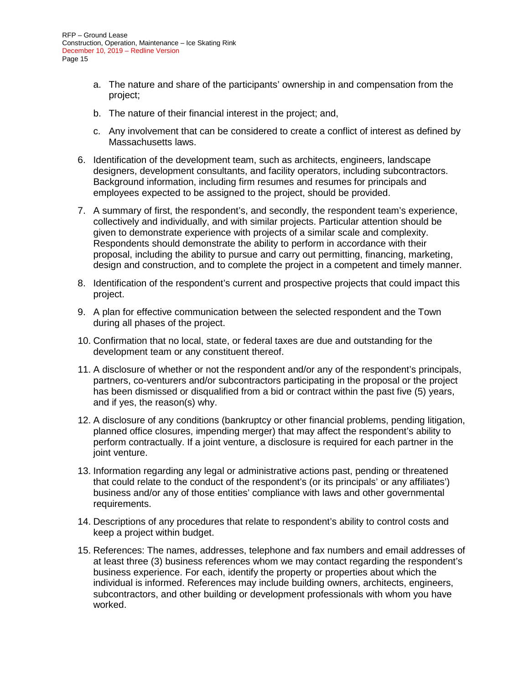- a. The nature and share of the participants' ownership in and compensation from the project;
- b. The nature of their financial interest in the project; and,
- c. Any involvement that can be considered to create a conflict of interest as defined by Massachusetts laws.
- 6. Identification of the development team, such as architects, engineers, landscape designers, development consultants, and facility operators, including subcontractors. Background information, including firm resumes and resumes for principals and employees expected to be assigned to the project, should be provided.
- 7. A summary of first, the respondent's, and secondly, the respondent team's experience, collectively and individually, and with similar projects. Particular attention should be given to demonstrate experience with projects of a similar scale and complexity. Respondents should demonstrate the ability to perform in accordance with their proposal, including the ability to pursue and carry out permitting, financing, marketing, design and construction, and to complete the project in a competent and timely manner.
- 8. Identification of the respondent's current and prospective projects that could impact this project.
- 9. A plan for effective communication between the selected respondent and the Town during all phases of the project.
- 10. Confirmation that no local, state, or federal taxes are due and outstanding for the development team or any constituent thereof.
- 11. A disclosure of whether or not the respondent and/or any of the respondent's principals, partners, co-venturers and/or subcontractors participating in the proposal or the project has been dismissed or disqualified from a bid or contract within the past five (5) years, and if yes, the reason(s) why.
- 12. A disclosure of any conditions (bankruptcy or other financial problems, pending litigation, planned office closures, impending merger) that may affect the respondent's ability to perform contractually. If a joint venture, a disclosure is required for each partner in the joint venture.
- 13. Information regarding any legal or administrative actions past, pending or threatened that could relate to the conduct of the respondent's (or its principals' or any affiliates') business and/or any of those entities' compliance with laws and other governmental requirements.
- 14. Descriptions of any procedures that relate to respondent's ability to control costs and keep a project within budget.
- 15. References: The names, addresses, telephone and fax numbers and email addresses of at least three (3) business references whom we may contact regarding the respondent's business experience. For each, identify the property or properties about which the individual is informed. References may include building owners, architects, engineers, subcontractors, and other building or development professionals with whom you have worked.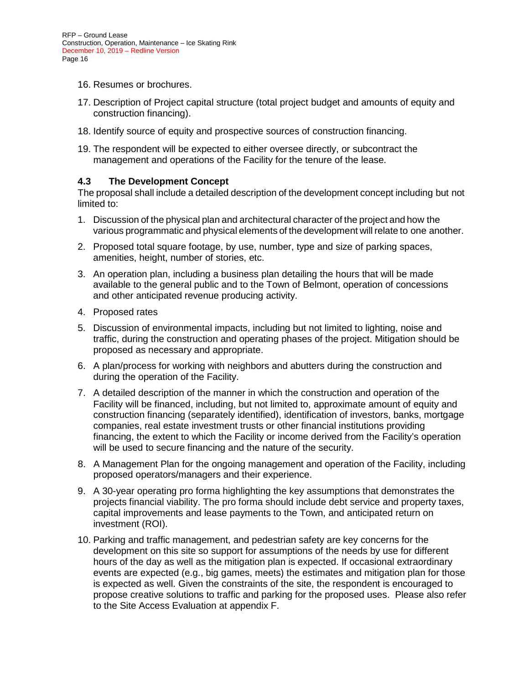- 16. Resumes or brochures.
- 17. Description of Project capital structure (total project budget and amounts of equity and construction financing).
- 18. Identify source of equity and prospective sources of construction financing.
- 19. The respondent will be expected to either oversee directly, or subcontract the management and operations of the Facility for the tenure of the lease.

#### **4.3 The Development Concept**

The proposal shall include a detailed description of the development concept including but not limited to:

- 1. Discussion of the physical plan and architectural character of the project and how the various programmatic and physical elements of the development will relate to one another.
- 2. Proposed total square footage, by use, number, type and size of parking spaces, amenities, height, number of stories, etc.
- 3. An operation plan, including a business plan detailing the hours that will be made available to the general public and to the Town of Belmont, operation of concessions and other anticipated revenue producing activity.
- 4. Proposed rates
- 5. Discussion of environmental impacts, including but not limited to lighting, noise and traffic, during the construction and operating phases of the project. Mitigation should be proposed as necessary and appropriate.
- 6. A plan/process for working with neighbors and abutters during the construction and during the operation of the Facility.
- 7. A detailed description of the manner in which the construction and operation of the Facility will be financed, including, but not limited to, approximate amount of equity and construction financing (separately identified), identification of investors, banks, mortgage companies, real estate investment trusts or other financial institutions providing financing, the extent to which the Facility or income derived from the Facility's operation will be used to secure financing and the nature of the security.
- 8. A Management Plan for the ongoing management and operation of the Facility, including proposed operators/managers and their experience.
- 9. A 30-year operating pro forma highlighting the key assumptions that demonstrates the projects financial viability. The pro forma should include debt service and property taxes, capital improvements and lease payments to the Town, and anticipated return on investment (ROI).
- 10. Parking and traffic management, and pedestrian safety are key concerns for the development on this site so support for assumptions of the needs by use for different hours of the day as well as the mitigation plan is expected. If occasional extraordinary events are expected (e.g., big games, meets) the estimates and mitigation plan for those is expected as well. Given the constraints of the site, the respondent is encouraged to propose creative solutions to traffic and parking for the proposed uses. Please also refer to the Site Access Evaluation at appendix F.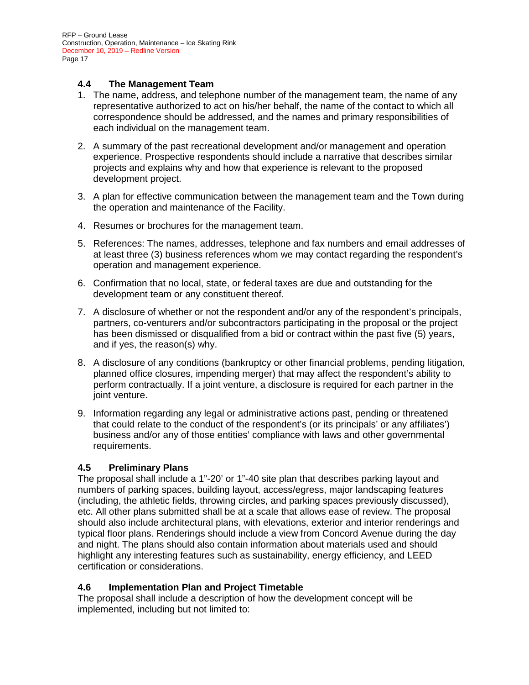#### **4.4 The Management Team**

- 1. The name, address, and telephone number of the management team, the name of any representative authorized to act on his/her behalf, the name of the contact to which all correspondence should be addressed, and the names and primary responsibilities of each individual on the management team.
- 2. A summary of the past recreational development and/or management and operation experience. Prospective respondents should include a narrative that describes similar projects and explains why and how that experience is relevant to the proposed development project.
- 3. A plan for effective communication between the management team and the Town during the operation and maintenance of the Facility.
- 4. Resumes or brochures for the management team.
- 5. References: The names, addresses, telephone and fax numbers and email addresses of at least three (3) business references whom we may contact regarding the respondent's operation and management experience.
- 6. Confirmation that no local, state, or federal taxes are due and outstanding for the development team or any constituent thereof.
- 7. A disclosure of whether or not the respondent and/or any of the respondent's principals, partners, co-venturers and/or subcontractors participating in the proposal or the project has been dismissed or disqualified from a bid or contract within the past five (5) years, and if yes, the reason(s) why.
- 8. A disclosure of any conditions (bankruptcy or other financial problems, pending litigation, planned office closures, impending merger) that may affect the respondent's ability to perform contractually. If a joint venture, a disclosure is required for each partner in the joint venture.
- 9. Information regarding any legal or administrative actions past, pending or threatened that could relate to the conduct of the respondent's (or its principals' or any affiliates') business and/or any of those entities' compliance with laws and other governmental requirements.

#### **4.5 Preliminary Plans**

The proposal shall include a 1"-20' or 1"-40 site plan that describes parking layout and numbers of parking spaces, building layout, access/egress, major landscaping features (including, the athletic fields, throwing circles, and parking spaces previously discussed), etc. All other plans submitted shall be at a scale that allows ease of review. The proposal should also include architectural plans, with elevations, exterior and interior renderings and typical floor plans. Renderings should include a view from Concord Avenue during the day and night. The plans should also contain information about materials used and should highlight any interesting features such as sustainability, energy efficiency, and LEED certification or considerations.

#### **4.6 Implementation Plan and Project Timetable**

The proposal shall include a description of how the development concept will be implemented, including but not limited to: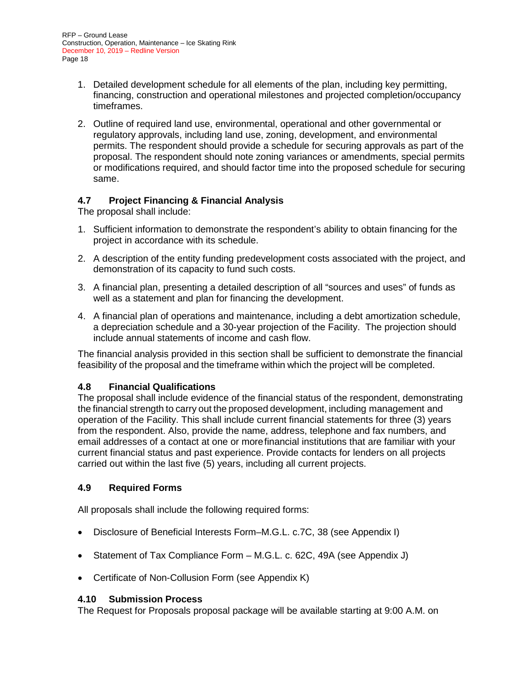- 1. Detailed development schedule for all elements of the plan, including key permitting, financing, construction and operational milestones and projected completion/occupancy timeframes.
- 2. Outline of required land use, environmental, operational and other governmental or regulatory approvals, including land use, zoning, development, and environmental permits. The respondent should provide a schedule for securing approvals as part of the proposal. The respondent should note zoning variances or amendments, special permits or modifications required, and should factor time into the proposed schedule for securing same.

# **4.7 Project Financing & Financial Analysis**

The proposal shall include:

- 1. Sufficient information to demonstrate the respondent's ability to obtain financing for the project in accordance with its schedule.
- 2. A description of the entity funding predevelopment costs associated with the project, and demonstration of its capacity to fund such costs.
- 3. A financial plan, presenting a detailed description of all "sources and uses" of funds as well as a statement and plan for financing the development.
- 4. A financial plan of operations and maintenance, including a debt amortization schedule, a depreciation schedule and a 30-year projection of the Facility. The projection should include annual statements of income and cash flow.

The financial analysis provided in this section shall be sufficient to demonstrate the financial feasibility of the proposal and the timeframe within which the project will be completed.

#### **4.8 Financial Qualifications**

The proposal shall include evidence of the financial status of the respondent, demonstrating the financial strength to carry out the proposed development, including management and operation of the Facility. This shall include current financial statements for three (3) years from the respondent. Also, provide the name, address, telephone and fax numbers, and email addresses of a contact at one or morefinancial institutions that are familiar with your current financial status and past experience. Provide contacts for lenders on all projects carried out within the last five (5) years, including all current projects.

# **4.9 Required Forms**

All proposals shall include the following required forms:

- Disclosure of Beneficial Interests Form–M.G.L. c.7C, 38 (see Appendix I)
- Statement of Tax Compliance Form M.G.L. c. 62C, 49A (see Appendix J)
- Certificate of Non-Collusion Form (see Appendix K)

#### **4.10 Submission Process**

The Request for Proposals proposal package will be available starting at 9:00 A.M. on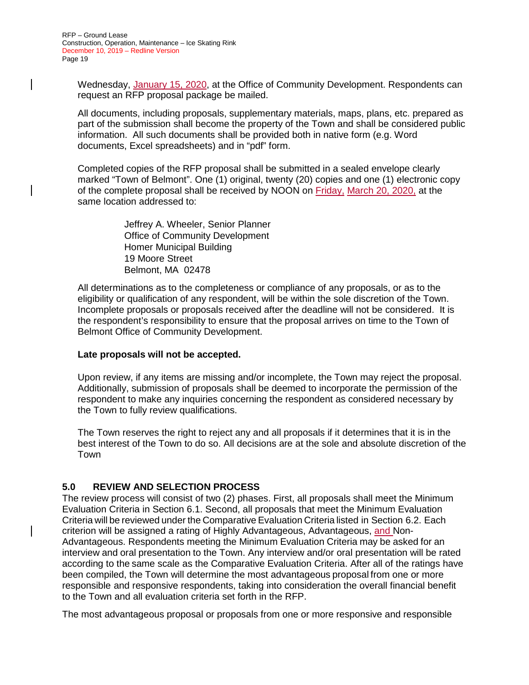Wednesday, January 15, 2020, at the Office of Community Development. Respondents can request an RFP proposal package be mailed.

All documents, including proposals, supplementary materials, maps, plans, etc. prepared as part of the submission shall become the property of the Town and shall be considered public information. All such documents shall be provided both in native form (e.g. Word documents, Excel spreadsheets) and in "pdf" form.

Completed copies of the RFP proposal shall be submitted in a sealed envelope clearly marked "Town of Belmont". One (1) original, twenty (20) copies and one (1) electronic copy of the complete proposal shall be received by NOON on Friday, March 20, 2020, at the same location addressed to:

> Jeffrey A. Wheeler, Senior Planner Office of Community Development Homer Municipal Building 19 Moore Street Belmont, MA 02478

All determinations as to the completeness or compliance of any proposals, or as to the eligibility or qualification of any respondent, will be within the sole discretion of the Town. Incomplete proposals or proposals received after the deadline will not be considered. It is the respondent's responsibility to ensure that the proposal arrives on time to the Town of Belmont Office of Community Development.

#### **Late proposals will not be accepted.**

Upon review, if any items are missing and/or incomplete, the Town may reject the proposal. Additionally, submission of proposals shall be deemed to incorporate the permission of the respondent to make any inquiries concerning the respondent as considered necessary by the Town to fully review qualifications.

The Town reserves the right to reject any and all proposals if it determines that it is in the best interest of the Town to do so. All decisions are at the sole and absolute discretion of the Town

#### **5.0 REVIEW AND SELECTION PROCESS**

The review process will consist of two (2) phases. First, all proposals shall meet the Minimum Evaluation Criteria in Section 6.1. Second, all proposals that meet the Minimum Evaluation Criteria will be reviewed under the Comparative Evaluation Criteria listed in Section 6.2. Each criterion will be assigned a rating of Highly Advantageous, Advantageous, and Non-Advantageous. Respondents meeting the Minimum Evaluation Criteria may be asked for an interview and oral presentation to the Town. Any interview and/or oral presentation will be rated according to the same scale as the Comparative Evaluation Criteria. After all of the ratings have been compiled, the Town will determine the most advantageous proposal from one or more responsible and responsive respondents, taking into consideration the overall financial benefit to the Town and all evaluation criteria set forth in the RFP.

The most advantageous proposal or proposals from one or more responsive and responsible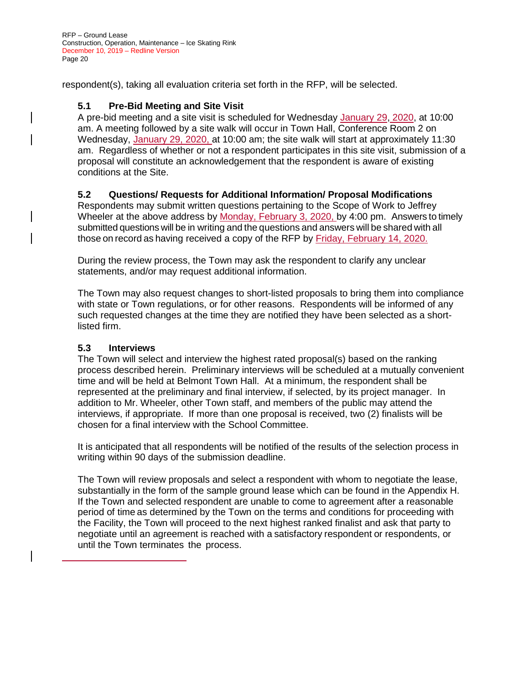respondent(s), taking all evaluation criteria set forth in the RFP, will be selected.

### **5.1 Pre-Bid Meeting and Site Visit**

A pre-bid meeting and a site visit is scheduled for Wednesday January 29, 2020, at 10:00 am. A meeting followed by a site walk will occur in Town Hall, Conference Room 2 on Wednesday, January 29, 2020, at 10:00 am; the site walk will start at approximately 11:30 am. Regardless of whether or not a respondent participates in this site visit, submission of a proposal will constitute an acknowledgement that the respondent is aware of existing conditions at the Site.

#### **5.2 Questions/ Requests for Additional Information/ Proposal Modifications**

Respondents may submit written questions pertaining to the Scope of Work to Jeffrey Wheeler at the above address by Monday, February 3, 2020, by 4:00 pm. Answers to timely submitted questions will be in writing and the questions and answers will be shared with all those on record as having received a copy of the RFP by Friday, February 14, 2020.

During the review process, the Town may ask the respondent to clarify any unclear statements, and/or may request additional information.

The Town may also request changes to short-listed proposals to bring them into compliance with state or Town regulations, or for other reasons. Respondents will be informed of any such requested changes at the time they are notified they have been selected as a shortlisted firm.

#### **5.3 Interviews**

The Town will select and interview the highest rated proposal(s) based on the ranking process described herein. Preliminary interviews will be scheduled at a mutually convenient time and will be held at Belmont Town Hall. At a minimum, the respondent shall be represented at the preliminary and final interview, if selected, by its project manager. In addition to Mr. Wheeler, other Town staff, and members of the public may attend the interviews, if appropriate. If more than one proposal is received, two (2) finalists will be chosen for a final interview with the School Committee.

It is anticipated that all respondents will be notified of the results of the selection process in writing within 90 days of the submission deadline.

The Town will review proposals and select a respondent with whom to negotiate the lease, substantially in the form of the sample ground lease which can be found in the Appendix H. If the Town and selected respondent are unable to come to agreement after a reasonable period of time as determined by the Town on the terms and conditions for proceeding with the Facility, the Town will proceed to the next highest ranked finalist and ask that party to negotiate until an agreement is reached with a satisfactory respondent or respondents, or until the Town terminates the process.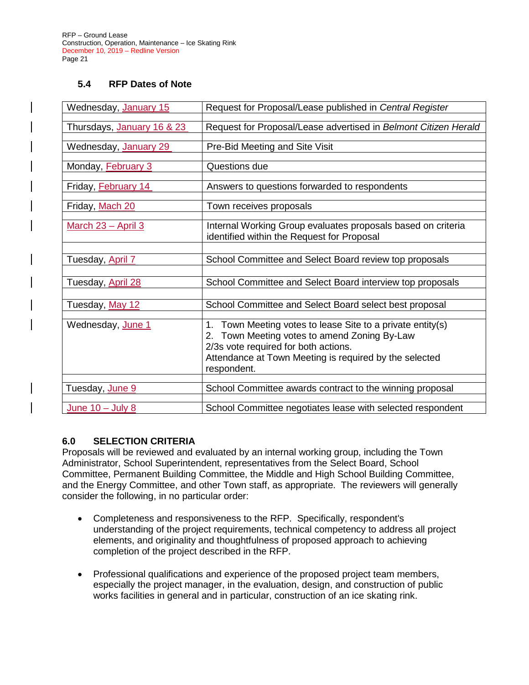#### **5.4 RFP Dates of Note**

| Wednesday, January 15      | Request for Proposal/Lease published in Central Register                                                                                                                                                                       |
|----------------------------|--------------------------------------------------------------------------------------------------------------------------------------------------------------------------------------------------------------------------------|
| Thursdays, January 16 & 23 | Request for Proposal/Lease advertised in Belmont Citizen Herald                                                                                                                                                                |
| Wednesday, January 29      | Pre-Bid Meeting and Site Visit                                                                                                                                                                                                 |
| Monday, <b>February 3</b>  | Questions due                                                                                                                                                                                                                  |
| Friday, February 14        | Answers to questions forwarded to respondents                                                                                                                                                                                  |
| Friday, Mach 20            | Town receives proposals                                                                                                                                                                                                        |
| March 23 - April 3         | Internal Working Group evaluates proposals based on criteria<br>identified within the Request for Proposal                                                                                                                     |
| Tuesday, April 7           | School Committee and Select Board review top proposals                                                                                                                                                                         |
| Tuesday, April 28          | School Committee and Select Board interview top proposals                                                                                                                                                                      |
| Tuesday, May 12            | School Committee and Select Board select best proposal                                                                                                                                                                         |
| Wednesday, June 1          | Town Meeting votes to lease Site to a private entity(s)<br>1.<br>2. Town Meeting votes to amend Zoning By-Law<br>2/3s vote required for both actions.<br>Attendance at Town Meeting is required by the selected<br>respondent. |
| Tuesday, June 9            | School Committee awards contract to the winning proposal                                                                                                                                                                       |
| June $10 -$ July 8         | School Committee negotiates lease with selected respondent                                                                                                                                                                     |

#### **6.0 SELECTION CRITERIA**

Proposals will be reviewed and evaluated by an internal working group, including the Town Administrator, School Superintendent, representatives from the Select Board, School Committee, Permanent Building Committee, the Middle and High School Building Committee, and the Energy Committee, and other Town staff, as appropriate. The reviewers will generally consider the following, in no particular order:

- Completeness and responsiveness to the RFP. Specifically, respondent's understanding of the project requirements, technical competency to address all project elements, and originality and thoughtfulness of proposed approach to achieving completion of the project described in the RFP.
- Professional qualifications and experience of the proposed project team members, especially the project manager, in the evaluation, design, and construction of public works facilities in general and in particular, construction of an ice skating rink.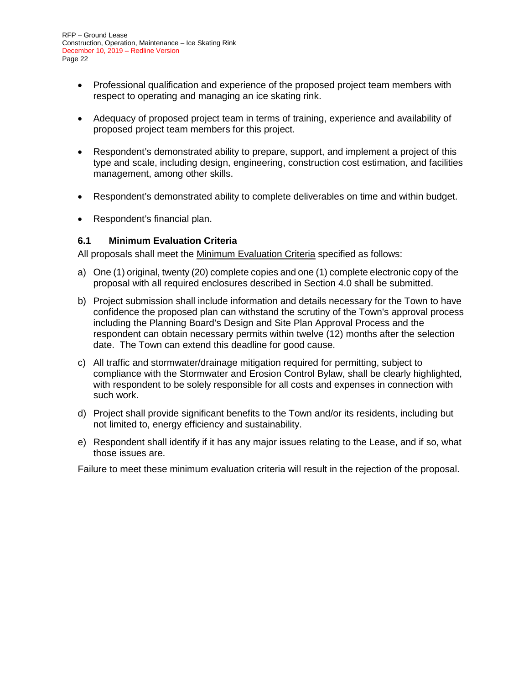- Professional qualification and experience of the proposed project team members with respect to operating and managing an ice skating rink.
- Adequacy of proposed project team in terms of training, experience and availability of proposed project team members for this project.
- Respondent's demonstrated ability to prepare, support, and implement a project of this type and scale, including design, engineering, construction cost estimation, and facilities management, among other skills.
- Respondent's demonstrated ability to complete deliverables on time and within budget.
- Respondent's financial plan.

#### **6.1 Minimum Evaluation Criteria**

All proposals shall meet the Minimum Evaluation Criteria specified as follows:

- a) One (1) original, twenty (20) complete copies and one (1) complete electronic copy of the proposal with all required enclosures described in Section 4.0 shall be submitted.
- b) Project submission shall include information and details necessary for the Town to have confidence the proposed plan can withstand the scrutiny of the Town's approval process including the Planning Board's Design and Site Plan Approval Process and the respondent can obtain necessary permits within twelve (12) months after the selection date. The Town can extend this deadline for good cause.
- c) All traffic and stormwater/drainage mitigation required for permitting, subject to compliance with the Stormwater and Erosion Control Bylaw, shall be clearly highlighted, with respondent to be solely responsible for all costs and expenses in connection with such work.
- d) Project shall provide significant benefits to the Town and/or its residents, including but not limited to, energy efficiency and sustainability.
- e) Respondent shall identify if it has any major issues relating to the Lease, and if so, what those issues are.

Failure to meet these minimum evaluation criteria will result in the rejection of the proposal.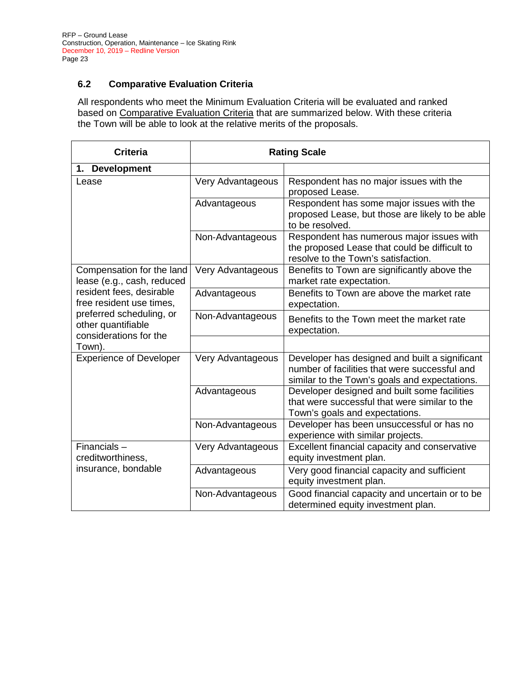# **6.2 Comparative Evaluation Criteria**

All respondents who meet the Minimum Evaluation Criteria will be evaluated and ranked based on Comparative Evaluation Criteria that are summarized below. With these criteria the Town will be able to look at the relative merits of the proposals.

| <b>Criteria</b>                                                          |                   | <b>Rating Scale</b>                                                                                                                              |
|--------------------------------------------------------------------------|-------------------|--------------------------------------------------------------------------------------------------------------------------------------------------|
| 1. Development                                                           |                   |                                                                                                                                                  |
| Lease                                                                    | Very Advantageous | Respondent has no major issues with the<br>proposed Lease.                                                                                       |
|                                                                          | Advantageous      | Respondent has some major issues with the<br>proposed Lease, but those are likely to be able<br>to be resolved.                                  |
|                                                                          | Non-Advantageous  | Respondent has numerous major issues with<br>the proposed Lease that could be difficult to<br>resolve to the Town's satisfaction.                |
| Compensation for the land<br>lease (e.g., cash, reduced                  | Very Advantageous | Benefits to Town are significantly above the<br>market rate expectation.                                                                         |
| resident fees, desirable<br>free resident use times,                     | Advantageous      | Benefits to Town are above the market rate<br>expectation.                                                                                       |
| preferred scheduling, or<br>other quantifiable<br>considerations for the | Non-Advantageous  | Benefits to the Town meet the market rate<br>expectation.                                                                                        |
| Town).                                                                   |                   |                                                                                                                                                  |
| <b>Experience of Developer</b>                                           | Very Advantageous | Developer has designed and built a significant<br>number of facilities that were successful and<br>similar to the Town's goals and expectations. |
|                                                                          | Advantageous      | Developer designed and built some facilities<br>that were successful that were similar to the<br>Town's goals and expectations.                  |
|                                                                          | Non-Advantageous  | Developer has been unsuccessful or has no<br>experience with similar projects.                                                                   |
| Financials-<br>creditworthiness,                                         | Very Advantageous | Excellent financial capacity and conservative<br>equity investment plan.                                                                         |
| insurance, bondable                                                      | Advantageous      | Very good financial capacity and sufficient<br>equity investment plan.                                                                           |
|                                                                          | Non-Advantageous  | Good financial capacity and uncertain or to be<br>determined equity investment plan.                                                             |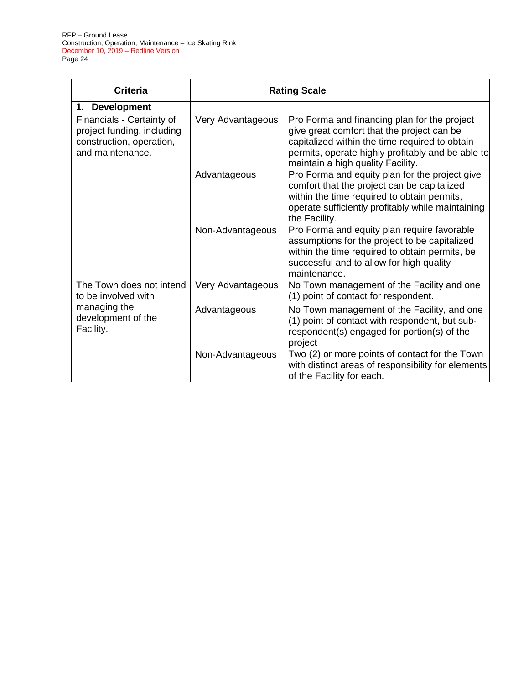| <b>Criteria</b>                                                                                         |                   | <b>Rating Scale</b>                                                                                                                                                                                                                    |
|---------------------------------------------------------------------------------------------------------|-------------------|----------------------------------------------------------------------------------------------------------------------------------------------------------------------------------------------------------------------------------------|
| 1. Development                                                                                          |                   |                                                                                                                                                                                                                                        |
| Financials - Certainty of<br>project funding, including<br>construction, operation,<br>and maintenance. | Very Advantageous | Pro Forma and financing plan for the project<br>give great comfort that the project can be<br>capitalized within the time required to obtain<br>permits, operate highly profitably and be able to<br>maintain a high quality Facility. |
|                                                                                                         | Advantageous      | Pro Forma and equity plan for the project give<br>comfort that the project can be capitalized<br>within the time required to obtain permits,<br>operate sufficiently profitably while maintaining<br>the Facility.                     |
|                                                                                                         | Non-Advantageous  | Pro Forma and equity plan require favorable<br>assumptions for the project to be capitalized<br>within the time required to obtain permits, be<br>successful and to allow for high quality<br>maintenance.                             |
| The Town does not intend<br>to be involved with                                                         | Very Advantageous | No Town management of the Facility and one<br>(1) point of contact for respondent.                                                                                                                                                     |
| managing the<br>development of the<br>Facility.                                                         | Advantageous      | No Town management of the Facility, and one<br>(1) point of contact with respondent, but sub-<br>respondent(s) engaged for portion(s) of the<br>project                                                                                |
|                                                                                                         | Non-Advantageous  | Two (2) or more points of contact for the Town<br>with distinct areas of responsibility for elements<br>of the Facility for each.                                                                                                      |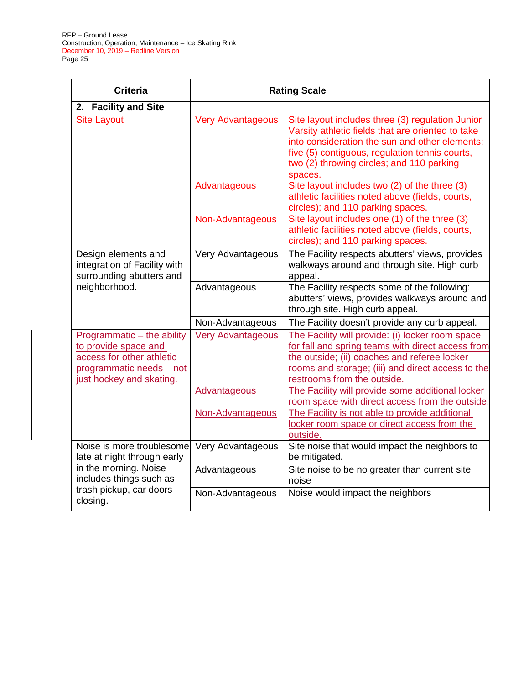| <b>Criteria</b>                                                                                                                         | <b>Rating Scale</b>      |                                                                                                                                                                                                                                                                   |  |
|-----------------------------------------------------------------------------------------------------------------------------------------|--------------------------|-------------------------------------------------------------------------------------------------------------------------------------------------------------------------------------------------------------------------------------------------------------------|--|
| 2. Facility and Site                                                                                                                    |                          |                                                                                                                                                                                                                                                                   |  |
| <b>Site Layout</b>                                                                                                                      | <b>Very Advantageous</b> | Site layout includes three (3) regulation Junior<br>Varsity athletic fields that are oriented to take<br>into consideration the sun and other elements;<br>five (5) contiguous, regulation tennis courts,<br>two (2) throwing circles; and 110 parking<br>spaces. |  |
|                                                                                                                                         | Advantageous             | Site layout includes two (2) of the three (3)<br>athletic facilities noted above (fields, courts,<br>circles); and 110 parking spaces.                                                                                                                            |  |
|                                                                                                                                         | Non-Advantageous         | Site layout includes one (1) of the three (3)<br>athletic facilities noted above (fields, courts,<br>circles); and 110 parking spaces.                                                                                                                            |  |
| Design elements and<br>integration of Facility with<br>surrounding abutters and                                                         | Very Advantageous        | The Facility respects abutters' views, provides<br>walkways around and through site. High curb<br>appeal.                                                                                                                                                         |  |
| neighborhood.                                                                                                                           | Advantageous             | The Facility respects some of the following:<br>abutters' views, provides walkways around and<br>through site. High curb appeal.                                                                                                                                  |  |
|                                                                                                                                         | Non-Advantageous         | The Facility doesn't provide any curb appeal.                                                                                                                                                                                                                     |  |
| Programmatic - the ability<br>to provide space and<br>access for other athletic<br>programmatic needs - not<br>just hockey and skating. | <b>Very Advantageous</b> | The Facility will provide: (i) locker room space<br>for fall and spring teams with direct access from<br>the outside; (ii) coaches and referee locker<br>rooms and storage; (iii) and direct access to the<br>restrooms from the outside.                         |  |
|                                                                                                                                         | <b>Advantageous</b>      | The Facility will provide some additional locker<br>room space with direct access from the outside.                                                                                                                                                               |  |
|                                                                                                                                         | Non-Advantageous         | The Facility is not able to provide additional<br>locker room space or direct access from the<br>outside.                                                                                                                                                         |  |
| Noise is more troublesome<br>late at night through early                                                                                | Very Advantageous        | Site noise that would impact the neighbors to<br>be mitigated.                                                                                                                                                                                                    |  |
| in the morning. Noise<br>includes things such as                                                                                        | Advantageous             | Site noise to be no greater than current site<br>noise                                                                                                                                                                                                            |  |
| trash pickup, car doors<br>closing.                                                                                                     | Non-Advantageous         | Noise would impact the neighbors                                                                                                                                                                                                                                  |  |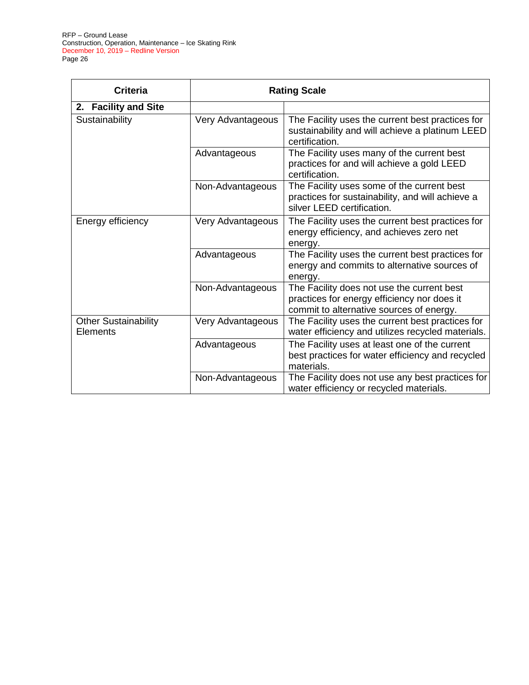| <b>Criteria</b>                                | <b>Rating Scale</b> |                                                                                                                                       |
|------------------------------------------------|---------------------|---------------------------------------------------------------------------------------------------------------------------------------|
| 2. Facility and Site                           |                     |                                                                                                                                       |
| Sustainability                                 | Very Advantageous   | The Facility uses the current best practices for<br>sustainability and will achieve a platinum LEED<br>certification.                 |
|                                                | Advantageous        | The Facility uses many of the current best<br>practices for and will achieve a gold LEED<br>certification.                            |
|                                                | Non-Advantageous    | The Facility uses some of the current best<br>practices for sustainability, and will achieve a<br>silver LEED certification.          |
| Energy efficiency                              | Very Advantageous   | The Facility uses the current best practices for<br>energy efficiency, and achieves zero net<br>energy.                               |
|                                                | Advantageous        | The Facility uses the current best practices for<br>energy and commits to alternative sources of<br>energy.                           |
|                                                | Non-Advantageous    | The Facility does not use the current best<br>practices for energy efficiency nor does it<br>commit to alternative sources of energy. |
| <b>Other Sustainability</b><br><b>Elements</b> | Very Advantageous   | The Facility uses the current best practices for<br>water efficiency and utilizes recycled materials.                                 |
|                                                | Advantageous        | The Facility uses at least one of the current<br>best practices for water efficiency and recycled<br>materials.                       |
|                                                | Non-Advantageous    | The Facility does not use any best practices for<br>water efficiency or recycled materials.                                           |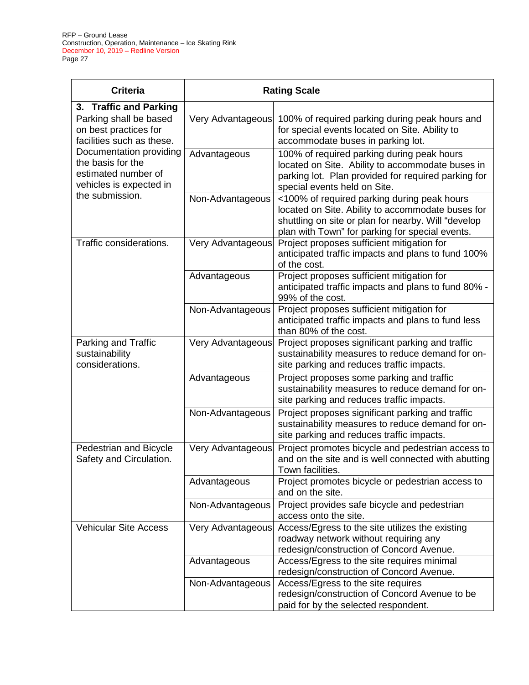| <b>Criteria</b>                                                                                | <b>Rating Scale</b> |                                                                                                                                                                                                            |
|------------------------------------------------------------------------------------------------|---------------------|------------------------------------------------------------------------------------------------------------------------------------------------------------------------------------------------------------|
| 3. Traffic and Parking                                                                         |                     |                                                                                                                                                                                                            |
| Parking shall be based<br>on best practices for<br>facilities such as these.                   | Very Advantageous   | 100% of required parking during peak hours and<br>for special events located on Site. Ability to<br>accommodate buses in parking lot.                                                                      |
| Documentation providing<br>the basis for the<br>estimated number of<br>vehicles is expected in | Advantageous        | 100% of required parking during peak hours<br>located on Site. Ability to accommodate buses in<br>parking lot. Plan provided for required parking for<br>special events held on Site.                      |
| the submission.                                                                                | Non-Advantageous    | <100% of required parking during peak hours<br>located on Site. Ability to accommodate buses for<br>shuttling on site or plan for nearby. Will "develop<br>plan with Town" for parking for special events. |
| Traffic considerations.                                                                        | Very Advantageous   | Project proposes sufficient mitigation for<br>anticipated traffic impacts and plans to fund 100%<br>of the cost.                                                                                           |
|                                                                                                | Advantageous        | Project proposes sufficient mitigation for<br>anticipated traffic impacts and plans to fund 80% -<br>99% of the cost.                                                                                      |
|                                                                                                | Non-Advantageous    | Project proposes sufficient mitigation for<br>anticipated traffic impacts and plans to fund less<br>than 80% of the cost.                                                                                  |
| Parking and Traffic<br>sustainability<br>considerations.                                       | Very Advantageous   | Project proposes significant parking and traffic<br>sustainability measures to reduce demand for on-<br>site parking and reduces traffic impacts.                                                          |
|                                                                                                | Advantageous        | Project proposes some parking and traffic<br>sustainability measures to reduce demand for on-<br>site parking and reduces traffic impacts.                                                                 |
|                                                                                                | Non-Advantageous    | Project proposes significant parking and traffic<br>sustainability measures to reduce demand for on-<br>site parking and reduces traffic impacts.                                                          |
| Pedestrian and Bicycle<br>Safety and Circulation.                                              | Very Advantageous   | Project promotes bicycle and pedestrian access to<br>and on the site and is well connected with abutting<br>Town facilities.                                                                               |
|                                                                                                | Advantageous        | Project promotes bicycle or pedestrian access to<br>and on the site.                                                                                                                                       |
|                                                                                                | Non-Advantageous    | Project provides safe bicycle and pedestrian<br>access onto the site.                                                                                                                                      |
| <b>Vehicular Site Access</b>                                                                   | Very Advantageous   | Access/Egress to the site utilizes the existing<br>roadway network without requiring any<br>redesign/construction of Concord Avenue.                                                                       |
|                                                                                                | Advantageous        | Access/Egress to the site requires minimal<br>redesign/construction of Concord Avenue.                                                                                                                     |
|                                                                                                | Non-Advantageous    | Access/Egress to the site requires<br>redesign/construction of Concord Avenue to be<br>paid for by the selected respondent.                                                                                |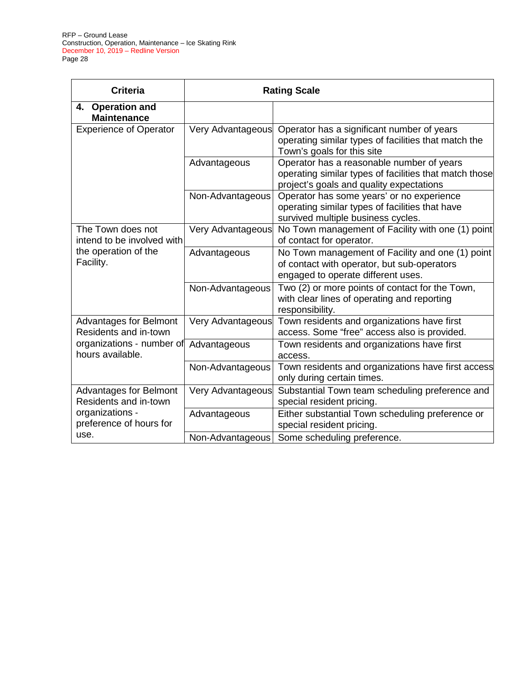| <b>Criteria</b>                                        | <b>Rating Scale</b> |                                                                                                                                                 |
|--------------------------------------------------------|---------------------|-------------------------------------------------------------------------------------------------------------------------------------------------|
| 4. Operation and<br><b>Maintenance</b>                 |                     |                                                                                                                                                 |
| <b>Experience of Operator</b>                          | Very Advantageous   | Operator has a significant number of years<br>operating similar types of facilities that match the<br>Town's goals for this site                |
|                                                        | Advantageous        | Operator has a reasonable number of years<br>operating similar types of facilities that match those<br>project's goals and quality expectations |
|                                                        | Non-Advantageous    | Operator has some years' or no experience<br>operating similar types of facilities that have<br>survived multiple business cycles.              |
| The Town does not<br>intend to be involved with        | Very Advantageous   | No Town management of Facility with one (1) point<br>of contact for operator.                                                                   |
| the operation of the<br>Facility.                      | Advantageous        | No Town management of Facility and one (1) point<br>of contact with operator, but sub-operators<br>engaged to operate different uses.           |
|                                                        | Non-Advantageous    | Two (2) or more points of contact for the Town,<br>with clear lines of operating and reporting<br>responsibility.                               |
| <b>Advantages for Belmont</b><br>Residents and in-town | Very Advantageous   | Town residents and organizations have first<br>access. Some "free" access also is provided.                                                     |
| organizations - number of<br>hours available.          | Advantageous        | Town residents and organizations have first<br>access.                                                                                          |
|                                                        | Non-Advantageous    | Town residents and organizations have first access<br>only during certain times.                                                                |
| <b>Advantages for Belmont</b><br>Residents and in-town | Very Advantageous   | Substantial Town team scheduling preference and<br>special resident pricing.                                                                    |
| organizations -<br>preference of hours for             | Advantageous        | Either substantial Town scheduling preference or<br>special resident pricing.                                                                   |
| use.                                                   | Non-Advantageous    | Some scheduling preference.                                                                                                                     |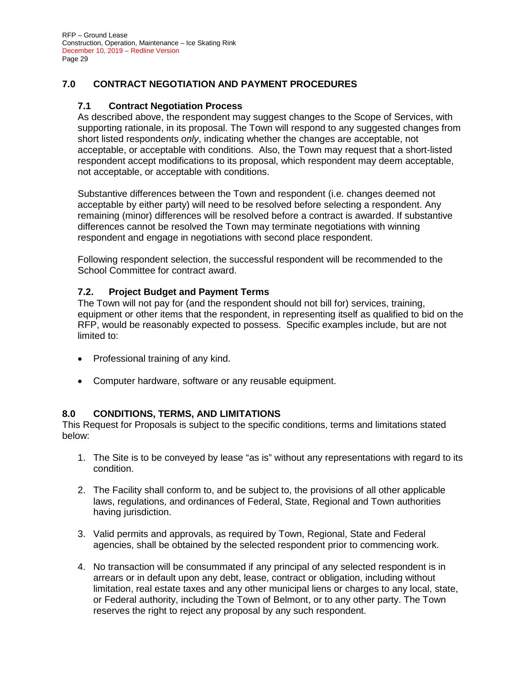# **7.0 CONTRACT NEGOTIATION AND PAYMENT PROCEDURES**

#### **7.1 Contract Negotiation Process**

As described above, the respondent may suggest changes to the Scope of Services, with supporting rationale, in its proposal. The Town will respond to any suggested changes from short listed respondents *only*, indicating whether the changes are acceptable, not acceptable, or acceptable with conditions. Also, the Town may request that a short-listed respondent accept modifications to its proposal, which respondent may deem acceptable, not acceptable, or acceptable with conditions.

Substantive differences between the Town and respondent (i.e. changes deemed not acceptable by either party) will need to be resolved before selecting a respondent. Any remaining (minor) differences will be resolved before a contract is awarded. If substantive differences cannot be resolved the Town may terminate negotiations with winning respondent and engage in negotiations with second place respondent.

Following respondent selection, the successful respondent will be recommended to the School Committee for contract award.

#### **7.2. Project Budget and Payment Terms**

The Town will not pay for (and the respondent should not bill for) services, training, equipment or other items that the respondent, in representing itself as qualified to bid on the RFP, would be reasonably expected to possess. Specific examples include, but are not limited to:

- Professional training of any kind.
- Computer hardware, software or any reusable equipment.

#### **8.0 CONDITIONS, TERMS, AND LIMITATIONS**

This Request for Proposals is subject to the specific conditions, terms and limitations stated below:

- 1. The Site is to be conveyed by lease "as is" without any representations with regard to its condition.
- 2. The Facility shall conform to, and be subject to, the provisions of all other applicable laws, regulations, and ordinances of Federal, State, Regional and Town authorities having jurisdiction.
- 3. Valid permits and approvals, as required by Town, Regional, State and Federal agencies, shall be obtained by the selected respondent prior to commencing work.
- 4. No transaction will be consummated if any principal of any selected respondent is in arrears or in default upon any debt, lease, contract or obligation, including without limitation, real estate taxes and any other municipal liens or charges to any local, state, or Federal authority, including the Town of Belmont, or to any other party. The Town reserves the right to reject any proposal by any such respondent.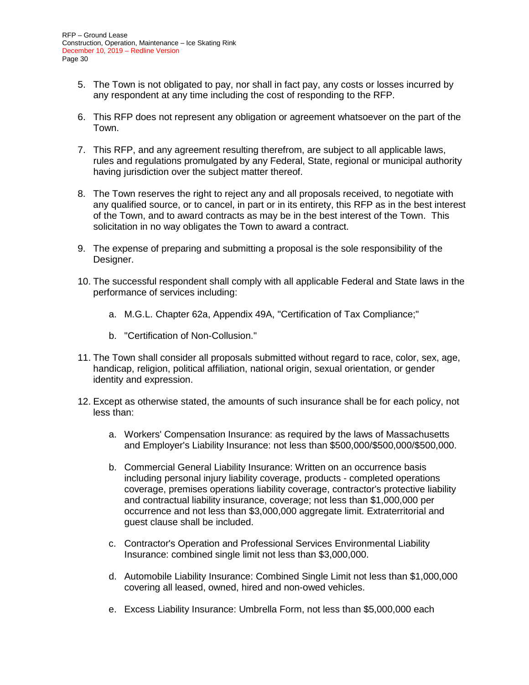- 5. The Town is not obligated to pay, nor shall in fact pay, any costs or losses incurred by any respondent at any time including the cost of responding to the RFP.
- 6. This RFP does not represent any obligation or agreement whatsoever on the part of the Town.
- 7. This RFP, and any agreement resulting therefrom, are subject to all applicable laws, rules and regulations promulgated by any Federal, State, regional or municipal authority having jurisdiction over the subject matter thereof.
- 8. The Town reserves the right to reject any and all proposals received, to negotiate with any qualified source, or to cancel, in part or in its entirety, this RFP as in the best interest of the Town, and to award contracts as may be in the best interest of the Town. This solicitation in no way obligates the Town to award a contract.
- 9. The expense of preparing and submitting a proposal is the sole responsibility of the Designer.
- 10. The successful respondent shall comply with all applicable Federal and State laws in the performance of services including:
	- a. M.G.L. Chapter 62a, Appendix 49A, "Certification of Tax Compliance;"
	- b. "Certification of Non-Collusion."
- 11. The Town shall consider all proposals submitted without regard to race, color, sex, age, handicap, religion, political affiliation, national origin, sexual orientation, or gender identity and expression.
- 12. Except as otherwise stated, the amounts of such insurance shall be for each policy, not less than:
	- a. Workers' Compensation Insurance: as required by the laws of Massachusetts and Employer's Liability Insurance: not less than \$500,000/\$500,000/\$500,000.
	- b. Commercial General Liability Insurance: Written on an occurrence basis including personal injury liability coverage, products - completed operations coverage, premises operations liability coverage, contractor's protective liability and contractual liability insurance, coverage; not less than \$1,000,000 per occurrence and not less than \$3,000,000 aggregate limit. Extraterritorial and guest clause shall be included.
	- c. Contractor's Operation and Professional Services Environmental Liability Insurance: combined single limit not less than \$3,000,000.
	- d. Automobile Liability Insurance: Combined Single Limit not less than \$1,000,000 covering all leased, owned, hired and non-owed vehicles.
	- e. Excess Liability Insurance: Umbrella Form, not less than \$5,000,000 each